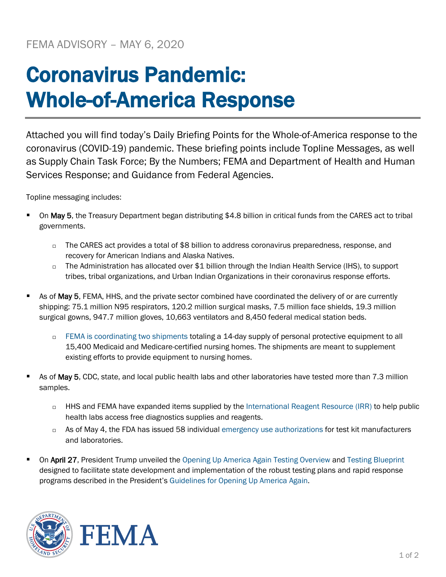## Coronavirus Pandemic: Whole-of-America Response

Attached you will find today's Daily Briefing Points for the Whole-of-America response to the coronavirus (COVID-19) pandemic. These briefing points include Topline Messages, as well as Supply Chain Task Force; By the Numbers; FEMA and Department of Health and Human Services Response; and Guidance from Federal Agencies.

Topline messaging includes:

- On May 5, the Treasury Department began distributing \$4.8 billion in critical funds from the CARES act to tribal governments.
	- □ The CARES act provides a total of \$8 billion to address coronavirus preparedness, response, and recovery for American Indians and Alaska Natives.
	- $\Box$  The Administration has allocated over \$1 billion through the Indian Health Service (IHS), to support tribes, tribal organizations, and Urban Indian Organizations in their coronavirus response efforts.
- As of May 5, FEMA, HHS, and the private sector combined have coordinated the delivery of or are currently shipping: 75.1 million N95 respirators, 120.2 million surgical masks, 7.5 million face shields, 19.3 million surgical gowns, 947.7 million gloves, 10,663 ventilators and 8,450 federal medical station beds.
	- [FEMA is coordinating two shipments](https://www.fema.gov/news-release/2020/04/30/personal-protective-equipment-medicare-and-medicaid-nursing-homes) totaling a 14-day supply of personal protective equipment to all 15,400 Medicaid and Medicare-certified nursing homes. The shipments are meant to supplement existing efforts to provide equipment to nursing homes.
- As of May 5, CDC, state, and local public health labs and other laboratories have tested more than 7.3 million samples.
	- □ HHS and FEMA have expanded items supplied by the [International Reagent Resource \(IRR\)](http://www.internationalreagentresource.org/) to help public health labs access free diagnostics supplies and reagents.
	- $\Box$  As of May 4, the FDA has issued 58 individual [emergency use authorizations](https://www.fda.gov/medical-devices/emergency-situations-medical-devices/emergency-use-authorizations) for test kit manufacturers and laboratories.
- On April 27, President Trump unveiled the [Opening Up America Again Testing Overview](https://www.whitehouse.gov/wp-content/uploads/2020/04/Testing-Overview-Final.pdf) and [Testing Blueprint](https://www.whitehouse.gov/wp-content/uploads/2020/04/Testing-Overview-Final.pdf) designed to facilitate state development and implementation of the robust testing plans and rapid response programs described in the President's [Guidelines for Opening Up America Again.](https://www.whitehouse.gov/openingamerica/)